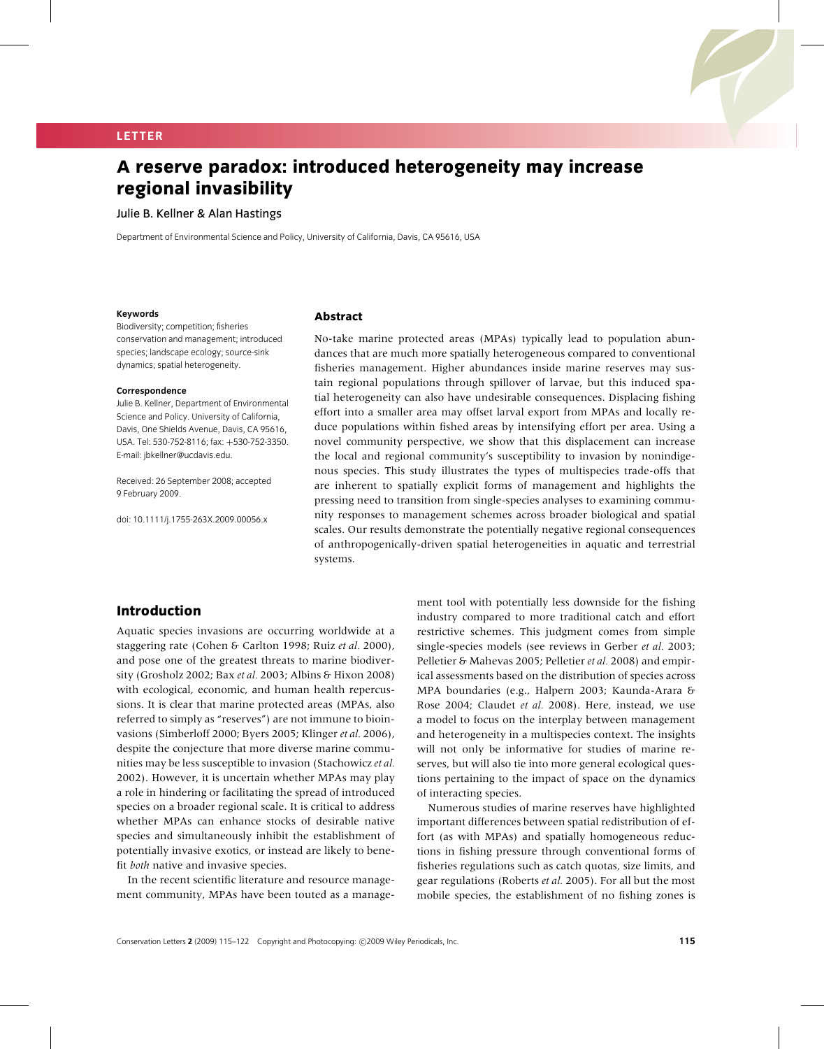### **LETTER**

# **A reserve paradox: introduced heterogeneity may increase regional invasibility**

#### Julie B. Kellner & Alan Hastings

Department of Environmental Science and Policy, University of California, Davis, CA 95616, USA

#### **Keywords**

Biodiversity; competition; fisheries conservation and management; introduced species; landscape ecology; source-sink dynamics; spatial heterogeneity.

#### **Correspondence**

Julie B. Kellner, Department of Environmental Science and Policy. University of California, Davis, One Shields Avenue, Davis, CA 95616, USA. Tel: 530-752-8116; fax: +530-752-3350. E-mail: jbkellner@ucdavis.edu.

Received: 26 September 2008; accepted 9 February 2009.

doi: 10.1111/j.1755-263X.2009.00056.x

#### **Abstract**

No-take marine protected areas (MPAs) typically lead to population abundances that are much more spatially heterogeneous compared to conventional fisheries management. Higher abundances inside marine reserves may sustain regional populations through spillover of larvae, but this induced spatial heterogeneity can also have undesirable consequences. Displacing fishing effort into a smaller area may offset larval export from MPAs and locally reduce populations within fished areas by intensifying effort per area. Using a novel community perspective, we show that this displacement can increase the local and regional community's susceptibility to invasion by nonindigenous species. This study illustrates the types of multispecies trade-offs that are inherent to spatially explicit forms of management and highlights the pressing need to transition from single-species analyses to examining community responses to management schemes across broader biological and spatial scales. Our results demonstrate the potentially negative regional consequences of anthropogenically-driven spatial heterogeneities in aquatic and terrestrial systems.

## **Introduction**

Aquatic species invasions are occurring worldwide at a staggering rate (Cohen & Carlton 1998; Ruiz *et al.* 2000), and pose one of the greatest threats to marine biodiversity (Grosholz 2002; Bax *et al.* 2003; Albins & Hixon 2008) with ecological, economic, and human health repercussions. It is clear that marine protected areas (MPAs, also referred to simply as "reserves") are not immune to bioinvasions (Simberloff 2000; Byers 2005; Klinger *et al.* 2006), despite the conjecture that more diverse marine communities may be less susceptible to invasion (Stachowicz *et al.* 2002). However, it is uncertain whether MPAs may play a role in hindering or facilitating the spread of introduced species on a broader regional scale. It is critical to address whether MPAs can enhance stocks of desirable native species and simultaneously inhibit the establishment of potentially invasive exotics, or instead are likely to benefit *both* native and invasive species.

In the recent scientific literature and resource management community, MPAs have been touted as a management tool with potentially less downside for the fishing industry compared to more traditional catch and effort restrictive schemes. This judgment comes from simple single-species models (see reviews in Gerber *et al.* 2003; Pelletier & Mahevas 2005; Pelletier *et al.* 2008) and empirical assessments based on the distribution of species across MPA boundaries (e.g., Halpern 2003; Kaunda-Arara & Rose 2004; Claudet *et al.* 2008). Here, instead, we use a model to focus on the interplay between management and heterogeneity in a multispecies context. The insights will not only be informative for studies of marine reserves, but will also tie into more general ecological questions pertaining to the impact of space on the dynamics of interacting species.

Numerous studies of marine reserves have highlighted important differences between spatial redistribution of effort (as with MPAs) and spatially homogeneous reductions in fishing pressure through conventional forms of fisheries regulations such as catch quotas, size limits, and gear regulations (Roberts *et al.* 2005). For all but the most mobile species, the establishment of no fishing zones is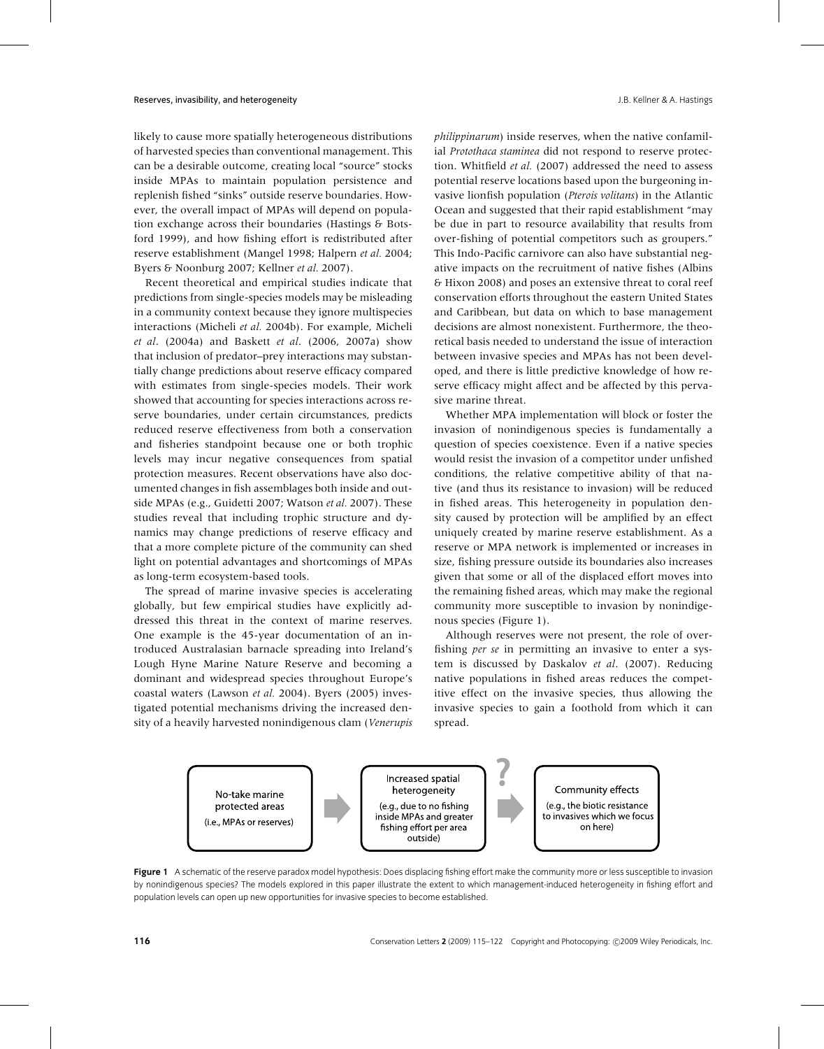likely to cause more spatially heterogeneous distributions of harvested species than conventional management. This can be a desirable outcome, creating local "source" stocks inside MPAs to maintain population persistence and replenish fished "sinks" outside reserve boundaries. However, the overall impact of MPAs will depend on population exchange across their boundaries (Hastings & Botsford 1999), and how fishing effort is redistributed after

reserve establishment (Mangel 1998; Halpern *et al.* 2004;

Byers & Noonburg 2007; Kellner *et al.* 2007).

Recent theoretical and empirical studies indicate that predictions from single-species models may be misleading in a community context because they ignore multispecies interactions (Micheli *et al.* 2004b). For example, Micheli *et al*. (2004a) and Baskett *et al*. (2006, 2007a) show that inclusion of predator–prey interactions may substantially change predictions about reserve efficacy compared with estimates from single-species models. Their work showed that accounting for species interactions across reserve boundaries, under certain circumstances, predicts reduced reserve effectiveness from both a conservation and fisheries standpoint because one or both trophic levels may incur negative consequences from spatial protection measures. Recent observations have also documented changes in fish assemblages both inside and outside MPAs (e.g., Guidetti 2007; Watson *et al.* 2007). These studies reveal that including trophic structure and dynamics may change predictions of reserve efficacy and that a more complete picture of the community can shed light on potential advantages and shortcomings of MPAs as long-term ecosystem-based tools.

The spread of marine invasive species is accelerating globally, but few empirical studies have explicitly addressed this threat in the context of marine reserves. One example is the 45-year documentation of an introduced Australasian barnacle spreading into Ireland's Lough Hyne Marine Nature Reserve and becoming a dominant and widespread species throughout Europe's coastal waters (Lawson *et al.* 2004). Byers (2005) investigated potential mechanisms driving the increased density of a heavily harvested nonindigenous clam (*Venerupis* *philippinarum*) inside reserves, when the native confamilial *Protothaca staminea* did not respond to reserve protection. Whitfield *et al.* (2007) addressed the need to assess potential reserve locations based upon the burgeoning invasive lionfish population (*Pterois volitans*) in the Atlantic Ocean and suggested that their rapid establishment "may be due in part to resource availability that results from over-fishing of potential competitors such as groupers." This Indo-Pacific carnivore can also have substantial negative impacts on the recruitment of native fishes (Albins & Hixon 2008) and poses an extensive threat to coral reef conservation efforts throughout the eastern United States and Caribbean, but data on which to base management decisions are almost nonexistent. Furthermore, the theoretical basis needed to understand the issue of interaction between invasive species and MPAs has not been developed, and there is little predictive knowledge of how reserve efficacy might affect and be affected by this pervasive marine threat.

Whether MPA implementation will block or foster the invasion of nonindigenous species is fundamentally a question of species coexistence. Even if a native species would resist the invasion of a competitor under unfished conditions, the relative competitive ability of that native (and thus its resistance to invasion) will be reduced in fished areas. This heterogeneity in population density caused by protection will be amplified by an effect uniquely created by marine reserve establishment. As a reserve or MPA network is implemented or increases in size, fishing pressure outside its boundaries also increases given that some or all of the displaced effort moves into the remaining fished areas, which may make the regional community more susceptible to invasion by nonindigenous species (Figure 1).

Although reserves were not present, the role of overfishing *per se* in permitting an invasive to enter a system is discussed by Daskalov *et al*. (2007). Reducing native populations in fished areas reduces the competitive effect on the invasive species, thus allowing the invasive species to gain a foothold from which it can spread.



Figure 1 A schematic of the reserve paradox model hypothesis: Does displacing fishing effort make the community more or less susceptible to invasion by nonindigenous species? The models explored in this paper illustrate the extent to which management-induced heterogeneity in fishing effort and population levels can open up new opportunities for invasive species to become established.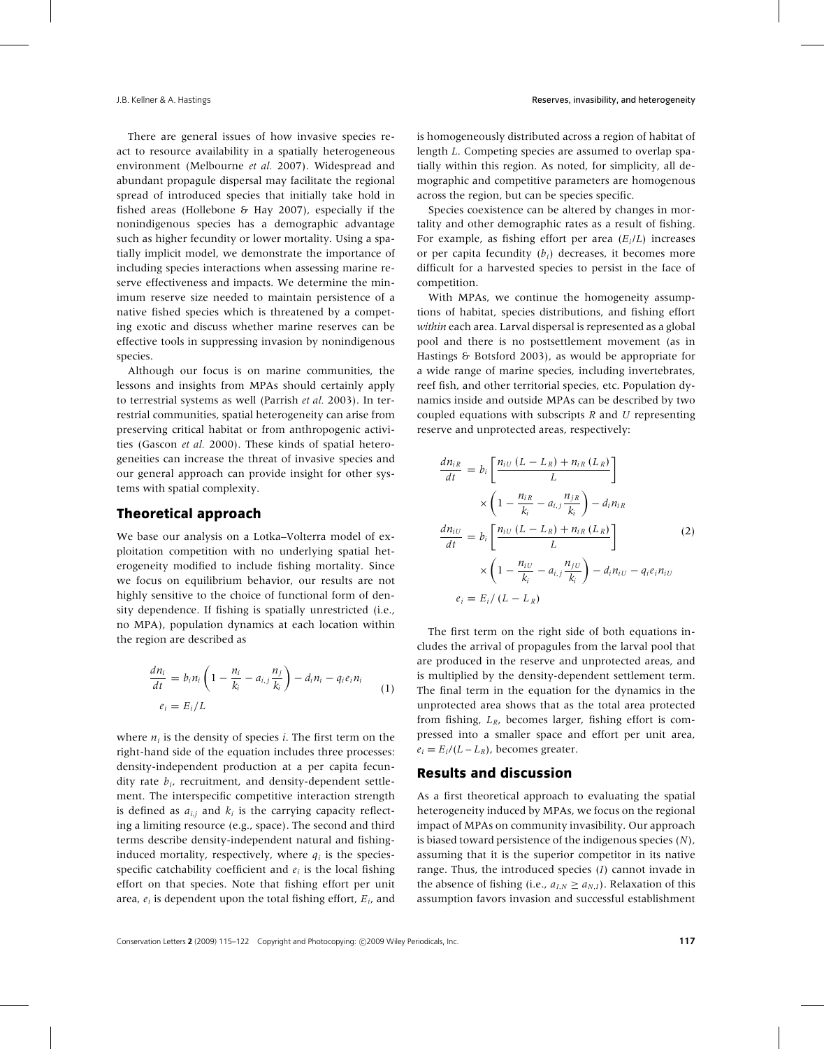There are general issues of how invasive species react to resource availability in a spatially heterogeneous environment (Melbourne *et al.* 2007). Widespread and abundant propagule dispersal may facilitate the regional spread of introduced species that initially take hold in fished areas (Hollebone & Hay 2007), especially if the nonindigenous species has a demographic advantage such as higher fecundity or lower mortality. Using a spatially implicit model, we demonstrate the importance of including species interactions when assessing marine reserve effectiveness and impacts. We determine the minimum reserve size needed to maintain persistence of a native fished species which is threatened by a competing exotic and discuss whether marine reserves can be effective tools in suppressing invasion by nonindigenous species.

Although our focus is on marine communities, the lessons and insights from MPAs should certainly apply to terrestrial systems as well (Parrish *et al.* 2003). In terrestrial communities, spatial heterogeneity can arise from preserving critical habitat or from anthropogenic activities (Gascon *et al.* 2000). These kinds of spatial heterogeneities can increase the threat of invasive species and our general approach can provide insight for other systems with spatial complexity.

# **Theoretical approach**

We base our analysis on a Lotka–Volterra model of exploitation competition with no underlying spatial heterogeneity modified to include fishing mortality. Since we focus on equilibrium behavior, our results are not highly sensitive to the choice of functional form of density dependence. If fishing is spatially unrestricted (i.e., no MPA), population dynamics at each location within the region are described as

$$
\frac{dn_i}{dt} = b_i n_i \left( 1 - \frac{n_i}{k_i} - a_{i,j} \frac{n_j}{k_i} \right) - d_i n_i - q_i e_i n_i
$$
\n
$$
e_i = E_i / L \tag{1}
$$

where  $n_i$  is the density of species  $i$ . The first term on the right-hand side of the equation includes three processes: density-independent production at a per capita fecundity rate *bi*, recruitment, and density-dependent settlement. The interspecific competitive interaction strength is defined as  $a_{i,j}$  and  $k_i$  is the carrying capacity reflecting a limiting resource (e.g., space). The second and third terms describe density-independent natural and fishinginduced mortality, respectively, where  $q_i$  is the speciesspecific catchability coefficient and  $e_i$  is the local fishing effort on that species. Note that fishing effort per unit area, *ei* is dependent upon the total fishing effort, *Ei*, and

is homogeneously distributed across a region of habitat of length *L*. Competing species are assumed to overlap spatially within this region. As noted, for simplicity, all demographic and competitive parameters are homogenous across the region, but can be species specific.

Species coexistence can be altered by changes in mortality and other demographic rates as a result of fishing. For example, as fishing effort per area (*Ei*/*L*) increases or per capita fecundity (*bi*) decreases, it becomes more difficult for a harvested species to persist in the face of competition.

With MPAs, we continue the homogeneity assumptions of habitat, species distributions, and fishing effort *within* each area. Larval dispersal is represented as a global pool and there is no postsettlement movement (as in Hastings & Botsford 2003), as would be appropriate for a wide range of marine species, including invertebrates, reef fish, and other territorial species, etc. Population dynamics inside and outside MPAs can be described by two coupled equations with subscripts *R* and *U* representing reserve and unprotected areas, respectively:

$$
\frac{d n_{iR}}{dt} = b_i \left[ \frac{n_{iU} (L - L_R) + n_{iR} (L_R)}{L} \right]
$$

$$
\times \left( 1 - \frac{n_{iR}}{k_i} - a_{i,j} \frac{n_{jR}}{k_i} \right) - d_i n_{iR}
$$

$$
\frac{d n_{iU}}{dt} = b_i \left[ \frac{n_{iU} (L - L_R) + n_{iR} (L_R)}{L} \right]
$$

$$
\times \left( 1 - \frac{n_{iU}}{k_i} - a_{i,j} \frac{n_{jU}}{k_i} \right) - d_i n_{iU} - q_i e_i n_{iU}
$$

$$
e_i = E_i / (L - L_R)
$$

The first term on the right side of both equations includes the arrival of propagules from the larval pool that are produced in the reserve and unprotected areas, and is multiplied by the density-dependent settlement term. The final term in the equation for the dynamics in the unprotected area shows that as the total area protected from fishing, *LR*, becomes larger, fishing effort is compressed into a smaller space and effort per unit area,  $e_i = E_i/(L - L_R)$ , becomes greater.

# **Results and discussion**

As a first theoretical approach to evaluating the spatial heterogeneity induced by MPAs, we focus on the regional impact of MPAs on community invasibility. Our approach is biased toward persistence of the indigenous species (*N*), assuming that it is the superior competitor in its native range. Thus, the introduced species (*I*) cannot invade in the absence of fishing (i.e.,  $a_{I,N} \ge a_{N,I}$ ). Relaxation of this assumption favors invasion and successful establishment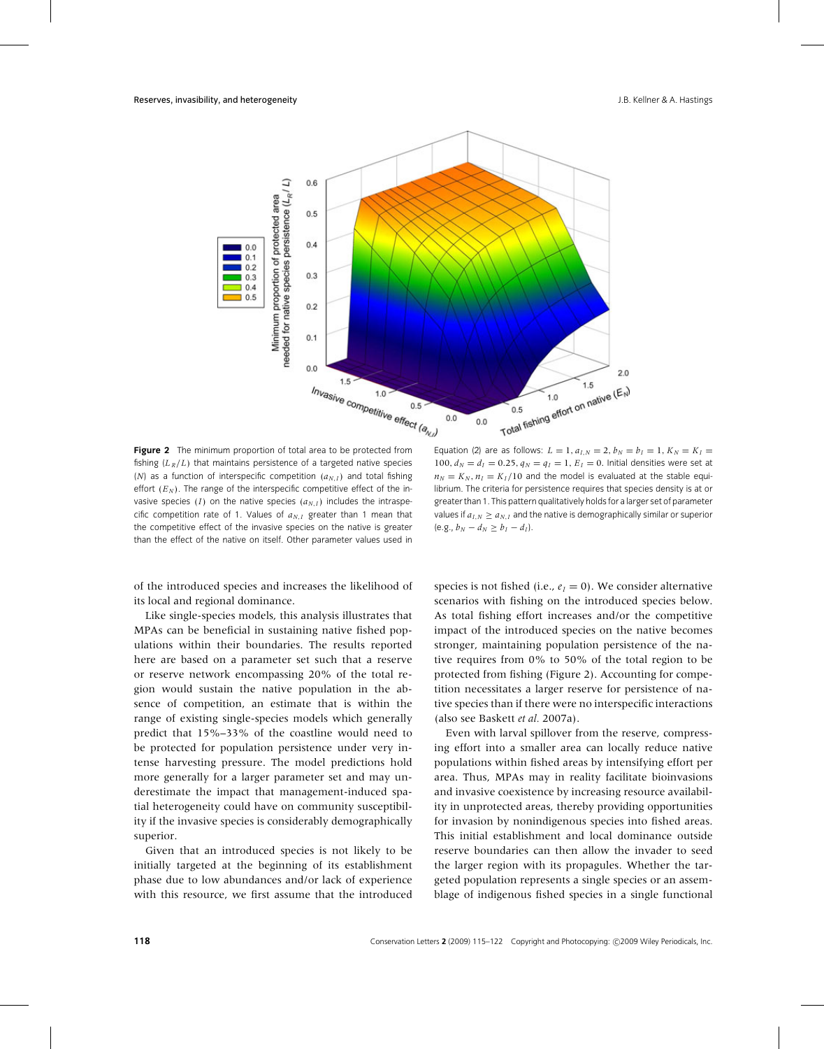

**Figure 2** The minimum proportion of total area to be protected from fishing  $(L_R/L)$  that maintains persistence of a targeted native species (*N*) as a function of interspecific competition ( $a_{N,I}$ ) and total fishing effort  $(E_N)$ . The range of the interspecific competitive effect of the invasive species (*I*) on the native species  $(a_{N,I})$  includes the intraspecific competition rate of 1. Values of  $a_{N,I}$  greater than 1 mean that the competitive effect of the invasive species on the native is greater than the effect of the native on itself. Other parameter values used in

Equation (2) are as follows:  $L = 1$ ,  $a_{I,N} = 2$ ,  $b_N = b_I = 1$ ,  $K_N = K_I =$ 100,  $d_N = d_I = 0.25$ ,  $q_N = q_I = 1$ ,  $E_I = 0$ . Initial densities were set at  $n_N = K_N$ ,  $n_I = K_I/10$  and the model is evaluated at the stable equilibrium. The criteria for persistence requires that species density is at or greater than 1. This pattern qualitatively holds for a larger set of parameter values if  $a_{I,N} \ge a_{N,I}$  and the native is demographically similar or superior  $(e.g., b_N - d_N \ge b_I - d_I).$ 

of the introduced species and increases the likelihood of its local and regional dominance.

Like single-species models, this analysis illustrates that MPAs can be beneficial in sustaining native fished populations within their boundaries. The results reported here are based on a parameter set such that a reserve or reserve network encompassing 20% of the total region would sustain the native population in the absence of competition, an estimate that is within the range of existing single-species models which generally predict that 15%–33% of the coastline would need to be protected for population persistence under very intense harvesting pressure. The model predictions hold more generally for a larger parameter set and may underestimate the impact that management-induced spatial heterogeneity could have on community susceptibility if the invasive species is considerably demographically superior.

Given that an introduced species is not likely to be initially targeted at the beginning of its establishment phase due to low abundances and/or lack of experience with this resource, we first assume that the introduced species is not fished (i.e.,  $e_I = 0$ ). We consider alternative scenarios with fishing on the introduced species below. As total fishing effort increases and/or the competitive impact of the introduced species on the native becomes stronger, maintaining population persistence of the native requires from 0% to 50% of the total region to be protected from fishing (Figure 2). Accounting for competition necessitates a larger reserve for persistence of native species than if there were no interspecific interactions (also see Baskett *et al.* 2007a).

Even with larval spillover from the reserve, compressing effort into a smaller area can locally reduce native populations within fished areas by intensifying effort per area. Thus, MPAs may in reality facilitate bioinvasions and invasive coexistence by increasing resource availability in unprotected areas, thereby providing opportunities for invasion by nonindigenous species into fished areas. This initial establishment and local dominance outside reserve boundaries can then allow the invader to seed the larger region with its propagules. Whether the targeted population represents a single species or an assemblage of indigenous fished species in a single functional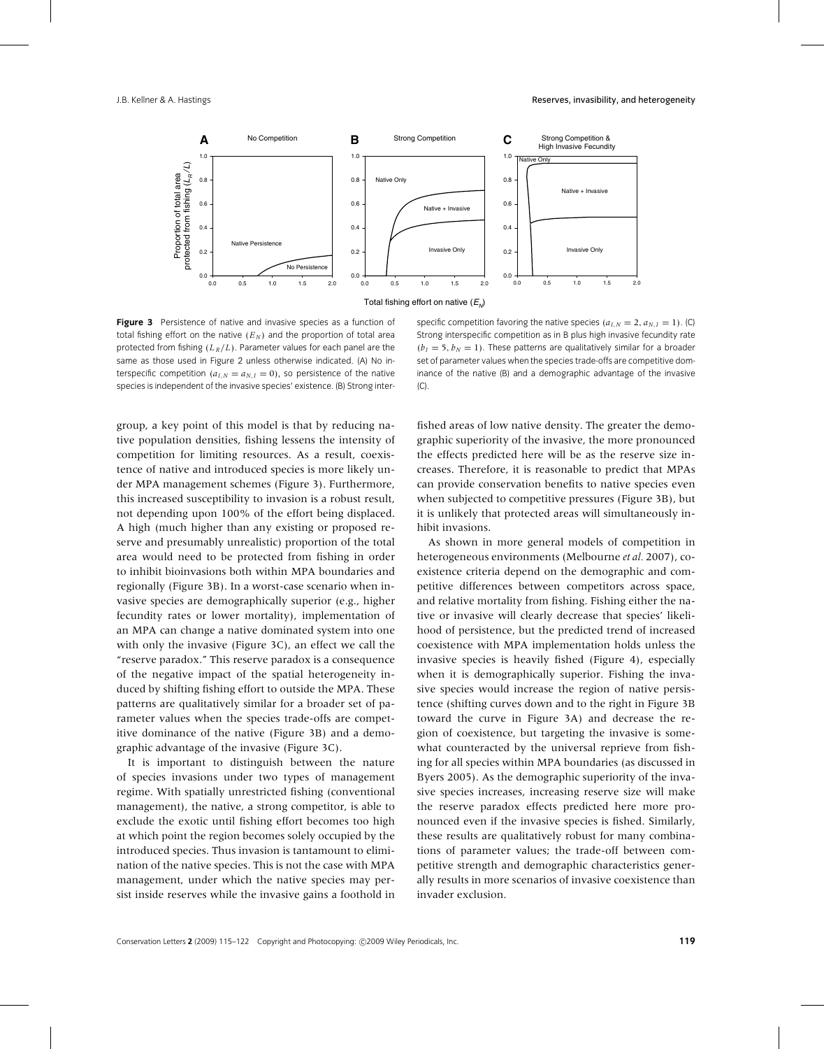

Total fishing effort on native  $(E_n)$ 

**Figure 3** Persistence of native and invasive species as a function of total fishing effort on the native  $(E_N)$  and the proportion of total area protected from fishing (*L <sup>R</sup>*/*L*). Parameter values for each panel are the same as those used in Figure 2 unless otherwise indicated. (A) No interspecific competition  $(a_{I,N} = a_{N,I} = 0)$ , so persistence of the native species is independent of the invasive species' existence. (B) Strong inter-

group, a key point of this model is that by reducing native population densities, fishing lessens the intensity of competition for limiting resources. As a result, coexistence of native and introduced species is more likely under MPA management schemes (Figure 3). Furthermore, this increased susceptibility to invasion is a robust result, not depending upon 100% of the effort being displaced. A high (much higher than any existing or proposed reserve and presumably unrealistic) proportion of the total area would need to be protected from fishing in order to inhibit bioinvasions both within MPA boundaries and regionally (Figure 3B). In a worst-case scenario when invasive species are demographically superior (e.g., higher fecundity rates or lower mortality), implementation of an MPA can change a native dominated system into one with only the invasive (Figure 3C), an effect we call the "reserve paradox." This reserve paradox is a consequence of the negative impact of the spatial heterogeneity induced by shifting fishing effort to outside the MPA. These patterns are qualitatively similar for a broader set of parameter values when the species trade-offs are competitive dominance of the native (Figure 3B) and a demographic advantage of the invasive (Figure 3C).

It is important to distinguish between the nature of species invasions under two types of management regime. With spatially unrestricted fishing (conventional management), the native, a strong competitor, is able to exclude the exotic until fishing effort becomes too high at which point the region becomes solely occupied by the introduced species. Thus invasion is tantamount to elimination of the native species. This is not the case with MPA management, under which the native species may persist inside reserves while the invasive gains a foothold in

specific competition favoring the native species ( $a_{I,N} = 2$ ,  $a_{N,I} = 1$ ). (C) Strong interspecific competition as in B plus high invasive fecundity rate  $(b<sub>I</sub> = 5, b<sub>N</sub> = 1)$ . These patterns are qualitatively similar for a broader set of parameter values when the species trade-offs are competitive dominance of the native (B) and a demographic advantage of the invasive  $(C)$ .

fished areas of low native density. The greater the demographic superiority of the invasive, the more pronounced the effects predicted here will be as the reserve size increases. Therefore, it is reasonable to predict that MPAs can provide conservation benefits to native species even when subjected to competitive pressures (Figure 3B), but it is unlikely that protected areas will simultaneously inhibit invasions.

As shown in more general models of competition in heterogeneous environments (Melbourne *et al.* 2007), coexistence criteria depend on the demographic and competitive differences between competitors across space, and relative mortality from fishing. Fishing either the native or invasive will clearly decrease that species' likelihood of persistence, but the predicted trend of increased coexistence with MPA implementation holds unless the invasive species is heavily fished (Figure 4), especially when it is demographically superior. Fishing the invasive species would increase the region of native persistence (shifting curves down and to the right in Figure 3B toward the curve in Figure 3A) and decrease the region of coexistence, but targeting the invasive is somewhat counteracted by the universal reprieve from fishing for all species within MPA boundaries (as discussed in Byers 2005). As the demographic superiority of the invasive species increases, increasing reserve size will make the reserve paradox effects predicted here more pronounced even if the invasive species is fished. Similarly, these results are qualitatively robust for many combinations of parameter values; the trade-off between competitive strength and demographic characteristics generally results in more scenarios of invasive coexistence than invader exclusion.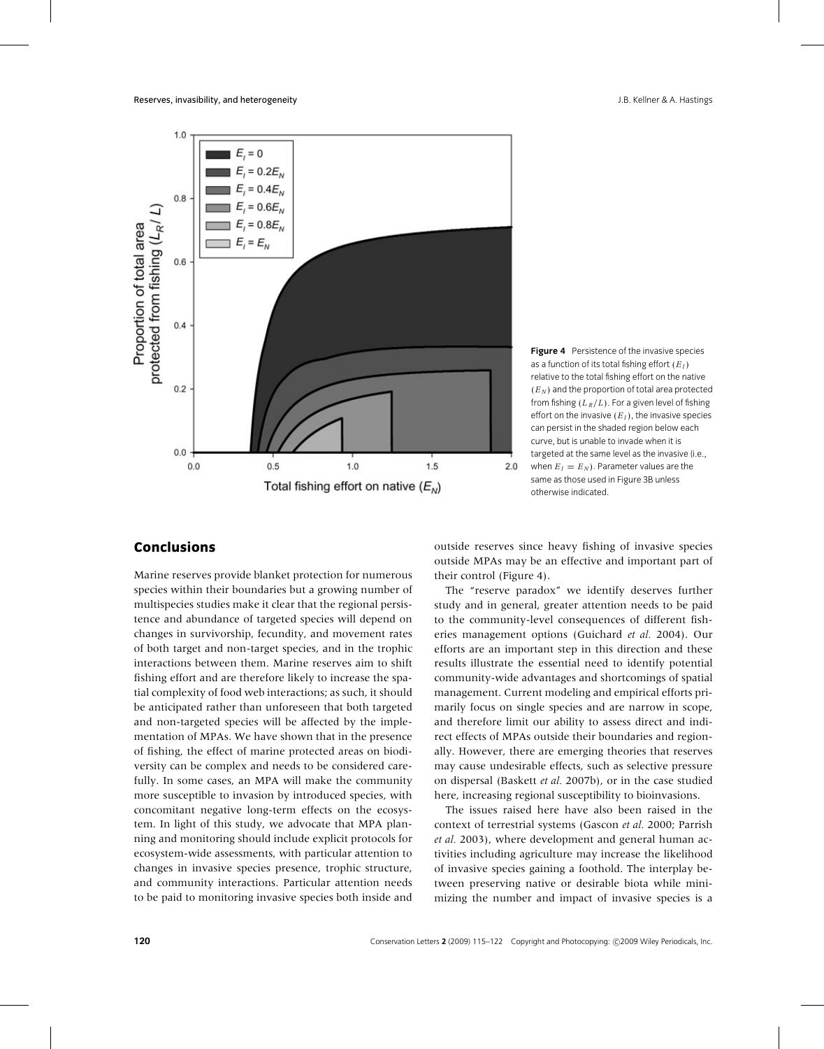

**Figure 4** Persistence of the invasive species as a function of its total fishing effort  $(E_I)$ relative to the total fishing effort on the native  $(E_N)$  and the proportion of total area protected from fishing  $(L_R/L)$ . For a given level of fishing effort on the invasive  $(E_I)$ , the invasive species can persist in the shaded region below each curve, but is unable to invade when it is targeted at the same level as the invasive (i.e., when  $E_I = E_N$ ). Parameter values are the same as those used in Figure 3B unless otherwise indicated.

# **Conclusions**

Marine reserves provide blanket protection for numerous species within their boundaries but a growing number of multispecies studies make it clear that the regional persistence and abundance of targeted species will depend on changes in survivorship, fecundity, and movement rates of both target and non-target species, and in the trophic interactions between them. Marine reserves aim to shift fishing effort and are therefore likely to increase the spatial complexity of food web interactions; as such, it should be anticipated rather than unforeseen that both targeted and non-targeted species will be affected by the implementation of MPAs. We have shown that in the presence of fishing, the effect of marine protected areas on biodiversity can be complex and needs to be considered carefully. In some cases, an MPA will make the community more susceptible to invasion by introduced species, with concomitant negative long-term effects on the ecosystem. In light of this study, we advocate that MPA planning and monitoring should include explicit protocols for ecosystem-wide assessments, with particular attention to changes in invasive species presence, trophic structure, and community interactions. Particular attention needs to be paid to monitoring invasive species both inside and

outside reserves since heavy fishing of invasive species outside MPAs may be an effective and important part of their control (Figure 4).

The "reserve paradox" we identify deserves further study and in general, greater attention needs to be paid to the community-level consequences of different fisheries management options (Guichard *et al.* 2004). Our efforts are an important step in this direction and these results illustrate the essential need to identify potential community-wide advantages and shortcomings of spatial management. Current modeling and empirical efforts primarily focus on single species and are narrow in scope, and therefore limit our ability to assess direct and indirect effects of MPAs outside their boundaries and regionally. However, there are emerging theories that reserves may cause undesirable effects, such as selective pressure on dispersal (Baskett *et al.* 2007b), or in the case studied here, increasing regional susceptibility to bioinvasions.

The issues raised here have also been raised in the context of terrestrial systems (Gascon *et al.* 2000; Parrish *et al.* 2003), where development and general human activities including agriculture may increase the likelihood of invasive species gaining a foothold. The interplay between preserving native or desirable biota while minimizing the number and impact of invasive species is a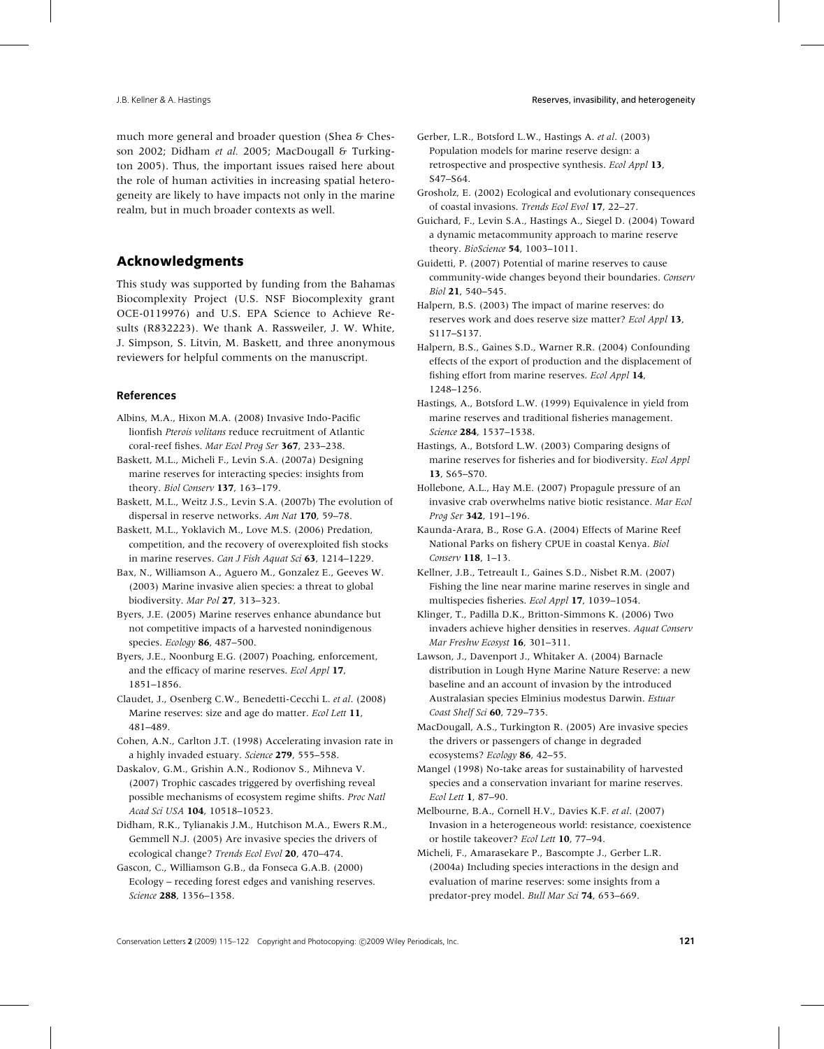much more general and broader question (Shea & Chesson 2002; Didham *et al.* 2005; MacDougall & Turkington 2005). Thus, the important issues raised here about the role of human activities in increasing spatial heterogeneity are likely to have impacts not only in the marine realm, but in much broader contexts as well.

# **Acknowledgments**

This study was supported by funding from the Bahamas Biocomplexity Project (U.S. NSF Biocomplexity grant OCE-0119976) and U.S. EPA Science to Achieve Results (R832223). We thank A. Rassweiler, J. W. White, J. Simpson, S. Litvin, M. Baskett, and three anonymous reviewers for helpful comments on the manuscript.

#### **References**

- Albins, M.A., Hixon M.A. (2008) Invasive Indo-Pacific lionfish *Pterois volitans* reduce recruitment of Atlantic coral-reef fishes. *Mar Ecol Prog Ser* **367**, 233–238.
- Baskett, M.L., Micheli F., Levin S.A. (2007a) Designing marine reserves for interacting species: insights from theory. *Biol Conserv* **137**, 163–179.
- Baskett, M.L., Weitz J.S., Levin S.A. (2007b) The evolution of dispersal in reserve networks. *Am Nat* **170**, 59–78.
- Baskett, M.L., Yoklavich M., Love M.S. (2006) Predation, competition, and the recovery of overexploited fish stocks in marine reserves. *Can J Fish Aquat Sci* **63**, 1214–1229.
- Bax, N., Williamson A., Aguero M., Gonzalez E., Geeves W. (2003) Marine invasive alien species: a threat to global biodiversity. *Mar Pol* **27**, 313–323.
- Byers, J.E. (2005) Marine reserves enhance abundance but not competitive impacts of a harvested nonindigenous species. *Ecology* **86**, 487–500.
- Byers, J.E., Noonburg E.G. (2007) Poaching, enforcement, and the efficacy of marine reserves. *Ecol Appl* **17**, 1851–1856.
- Claudet, J., Osenberg C.W., Benedetti-Cecchi L. *et al*. (2008) Marine reserves: size and age do matter. *Ecol Lett* **11**, 481–489.
- Cohen, A.N., Carlton J.T. (1998) Accelerating invasion rate in a highly invaded estuary. *Science* **279**, 555–558.
- Daskalov, G.M., Grishin A.N., Rodionov S., Mihneva V. (2007) Trophic cascades triggered by overfishing reveal possible mechanisms of ecosystem regime shifts. *Proc Natl Acad Sci USA* **104**, 10518–10523.
- Didham, R.K., Tylianakis J.M., Hutchison M.A., Ewers R.M., Gemmell N.J. (2005) Are invasive species the drivers of ecological change? *Trends Ecol Evol* **20**, 470–474.
- Gascon, C., Williamson G.B., da Fonseca G.A.B. (2000) Ecology – receding forest edges and vanishing reserves. *Science* **288**, 1356–1358.
- Gerber, L.R., Botsford L.W., Hastings A. *et al*. (2003) Population models for marine reserve design: a retrospective and prospective synthesis. *Ecol Appl* **13**, S47–S64.
- Grosholz, E. (2002) Ecological and evolutionary consequences of coastal invasions. *Trends Ecol Evol* **17**, 22–27.
- Guichard, F., Levin S.A., Hastings A., Siegel D. (2004) Toward a dynamic metacommunity approach to marine reserve theory. *BioScience* **54**, 1003–1011.
- Guidetti, P. (2007) Potential of marine reserves to cause community-wide changes beyond their boundaries. *Conserv Biol* **21**, 540–545.
- Halpern, B.S. (2003) The impact of marine reserves: do reserves work and does reserve size matter? *Ecol Appl* **13**, S117–S137.
- Halpern, B.S., Gaines S.D., Warner R.R. (2004) Confounding effects of the export of production and the displacement of fishing effort from marine reserves. *Ecol Appl* **14**, 1248–1256.
- Hastings, A., Botsford L.W. (1999) Equivalence in yield from marine reserves and traditional fisheries management. *Science* **284**, 1537–1538.
- Hastings, A., Botsford L.W. (2003) Comparing designs of marine reserves for fisheries and for biodiversity. *Ecol Appl* **13**, S65–S70.
- Hollebone, A.L., Hay M.E. (2007) Propagule pressure of an invasive crab overwhelms native biotic resistance. *Mar Ecol Prog Ser* **342**, 191–196.
- Kaunda-Arara, B., Rose G.A. (2004) Effects of Marine Reef National Parks on fishery CPUE in coastal Kenya. *Biol Conserv* **118**, 1–13.
- Kellner, J.B., Tetreault I., Gaines S.D., Nisbet R.M. (2007) Fishing the line near marine marine reserves in single and multispecies fisheries. *Ecol Appl* **17**, 1039–1054.
- Klinger, T., Padilla D.K., Britton-Simmons K. (2006) Two invaders achieve higher densities in reserves. *Aquat Conserv Mar Freshw Ecosyst* **16**, 301–311.
- Lawson, J., Davenport J., Whitaker A. (2004) Barnacle distribution in Lough Hyne Marine Nature Reserve: a new baseline and an account of invasion by the introduced Australasian species Elminius modestus Darwin. *Estuar Coast Shelf Sci* **60**, 729–735.
- MacDougall, A.S., Turkington R. (2005) Are invasive species the drivers or passengers of change in degraded ecosystems? *Ecology* **86**, 42–55.
- Mangel (1998) No-take areas for sustainability of harvested species and a conservation invariant for marine reserves. *Ecol Lett* **1**, 87–90.
- Melbourne, B.A., Cornell H.V., Davies K.F. *et al*. (2007) Invasion in a heterogeneous world: resistance, coexistence or hostile takeover? *Ecol Lett* **10**, 77–94.
- Micheli, F., Amarasekare P., Bascompte J., Gerber L.R. (2004a) Including species interactions in the design and evaluation of marine reserves: some insights from a predator-prey model. *Bull Mar Sci* **74**, 653–669.